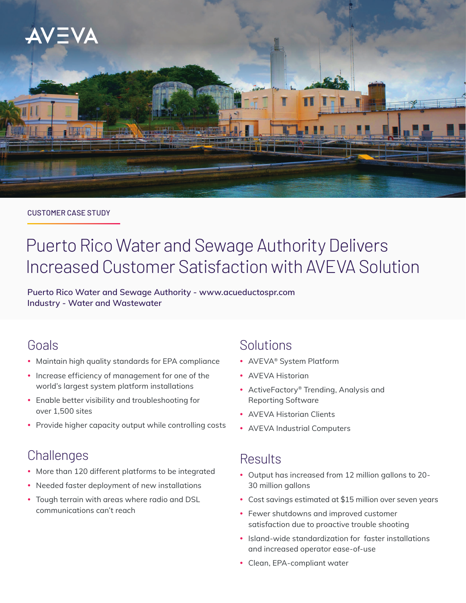

#### CUSTOMER CASE STUDY

# Puerto Rico Water and Sewage Authority Delivers Increased Customer Satisfaction with AVEVA Solution

**Puerto Rico Water and Sewage Authority - [www.acueductospr.com](http://www.acueductospr.com) Industry - Water and Wastewater**

## Goals

- Maintain high quality standards for EPA compliance
- Increase efficiency of management for one of the world's largest system platform installations
- Enable better visibility and troubleshooting for over 1,500 sites
- Provide higher capacity output while controlling costs

## **Challenges**

- More than 120 different platforms to be integrated
- Needed faster deployment of new installations
- Tough terrain with areas where radio and DSL communications can't reach

## Solutions

- AVEVA® System Platform
- AVEVA Historian
- ActiveFactory® Trending, Analysis and Reporting Software
- AVEVA Historian Clients
- AVEVA Industrial Computers

## **Results**

- y Output has increased from 12 million gallons to 20- 30 million gallons
- Cost savings estimated at \$15 million over seven years
- Fewer shutdowns and improved customer satisfaction due to proactive trouble shooting
- Island-wide standardization for faster installations and increased operator ease-of-use
- Clean, EPA-compliant water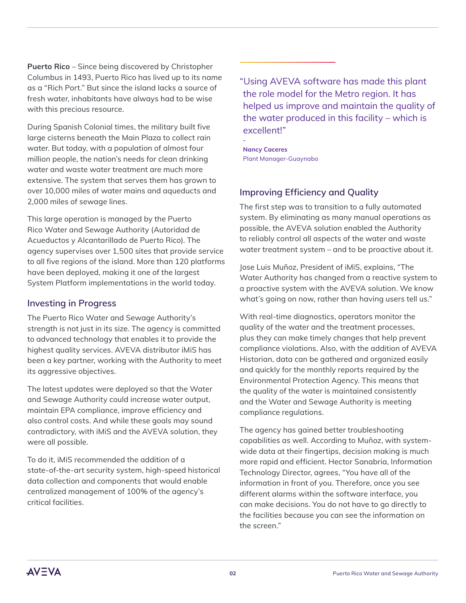**Puerto Rico** – Since being discovered by Christopher Columbus in 1493, Puerto Rico has lived up to its name as a "Rich Port." But since the island lacks a source of fresh water, inhabitants have always had to be wise with this precious resource.

During Spanish Colonial times, the military built five large cisterns beneath the Main Plaza to collect rain water. But today, with a population of almost four million people, the nation's needs for clean drinking water and waste water treatment are much more extensive. The system that serves them has grown to over 10,000 miles of water mains and aqueducts and 2,000 miles of sewage lines.

This large operation is managed by the Puerto Rico Water and Sewage Authority (Autoridad de Acueductos y Alcantarillado de Puerto Rico). The agency supervises over 1,500 sites that provide service to all five regions of the island. More than 120 platforms have been deployed, making it one of the largest System Platform implementations in the world today.

#### **Investing in Progress**

The Puerto Rico Water and Sewage Authority's strength is not just in its size. The agency is committed to advanced technology that enables it to provide the highest quality services. AVEVA distributor iMiS has been a key partner, working with the Authority to meet its aggressive objectives.

The latest updates were deployed so that the Water and Sewage Authority could increase water output, maintain EPA compliance, improve efficiency and also control costs. And while these goals may sound contradictory, with iMiS and the AVEVA solution, they were all possible.

To do it, iMiS recommended the addition of a state-of-the-art security system, high-speed historical data collection and components that would enable centralized management of 100% of the agency's critical facilities.

"Using AVEVA software has made this plant the role model for the Metro region. It has helped us improve and maintain the quality of the water produced in this facility – which is excellent!"

**Nancy Caceres** Plant Manager-Guaynabo

**-**

### **Improving Efficiency and Quality**

The first step was to transition to a fully automated system. By eliminating as many manual operations as possible, the AVEVA solution enabled the Authority to reliably control all aspects of the water and waste water treatment system – and to be proactive about it.

Jose Luis Muñoz, President of iMiS, explains, "The Water Authority has changed from a reactive system to a proactive system with the AVEVA solution. We know what's going on now, rather than having users tell us."

With real-time diagnostics, operators monitor the quality of the water and the treatment processes, plus they can make timely changes that help prevent compliance violations. Also, with the addition of AVEVA Historian, data can be gathered and organized easily and quickly for the monthly reports required by the Environmental Protection Agency. This means that the quality of the water is maintained consistently and the Water and Sewage Authority is meeting compliance regulations.

The agency has gained better troubleshooting capabilities as well. According to Muñoz, with systemwide data at their fingertips, decision making is much more rapid and efficient. Hector Sanabria, Information Technology Director, agrees, "You have all of the information in front of you. Therefore, once you see different alarms within the software interface, you can make decisions. You do not have to go directly to the facilities because you can see the information on the screen."